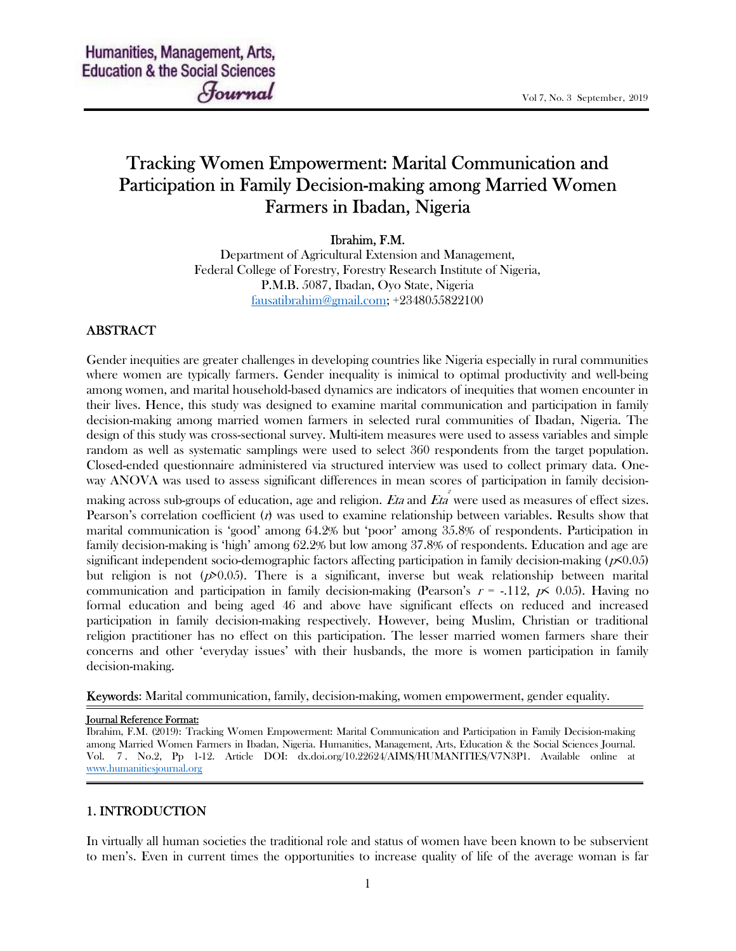# Tracking Women Empowerment: Marital Communication and Participation in Family Decision-making among Married Women Farmers in Ibadan, Nigeria

#### Ibrahim, F.M.

Department of Agricultural Extension and Management, Federal College of Forestry, Forestry Research Institute of Nigeria, P.M.B. 5087, Ibadan, Oyo State, Nigeria fausatibrahim@gmail.com; +2348055822100

# ABSTRACT

Gender inequities are greater challenges in developing countries like Nigeria especially in rural communities where women are typically farmers. Gender inequality is inimical to optimal productivity and well-being among women, and marital household-based dynamics are indicators of inequities that women encounter in their lives. Hence, this study was designed to examine marital communication and participation in family decision-making among married women farmers in selected rural communities of Ibadan, Nigeria. The design of this study was cross-sectional survey. Multi-item measures were used to assess variables and simple random as well as systematic samplings were used to select 360 respondents from the target population. Closed-ended questionnaire administered via structured interview was used to collect primary data. Oneway ANOVA was used to assess significant differences in mean scores of participation in family decision-

making across sub-groups of education, age and religion.  $E$ ta and  $E$ ta were used as measures of effect sizes. Pearson's correlation coefficient  $(t)$  was used to examine relationship between variables. Results show that marital communication is 'good' among 64.2% but 'poor' among 35.8% of respondents. Participation in family decision-making is 'high' among 62.2% but low among 37.8% of respondents. Education and age are significant independent socio-demographic factors affecting participation in family decision-making (p<0.05) but religion is not  $(p>0.05)$ . There is a significant, inverse but weak relationship between marital communication and participation in family decision-making (Pearson's  $r = -.112$ ,  $p \le 0.05$ ). Having no formal education and being aged 46 and above have significant effects on reduced and increased participation in family decision-making respectively. However, being Muslim, Christian or traditional religion practitioner has no effect on this participation. The lesser married women farmers share their concerns and other 'everyday issues' with their husbands, the more is women participation in family decision-making.

Keywords: Marital communication, family, decision-making, women empowerment, gender equality.

#### Journal Reference Format:

Ibrahim, F.M. (2019): Tracking Women Empowerment: Marital Communication and Participation in Family Decision-making among Married Women Farmers in Ibadan, Nigeria. Humanities, Management, Arts, Education & the Social Sciences Journal. Vol. 7 . No.2, Pp 1-12. Article DOI: dx.doi.org/10.22624/AIMS/HUMANITIES/V7N3P1. Available online at www.humanitiesjournal.org

# 1. INTRODUCTION

In virtually all human societies the traditional role and status of women have been known to be subservient to men's. Even in current times the opportunities to increase quality of life of the average woman is far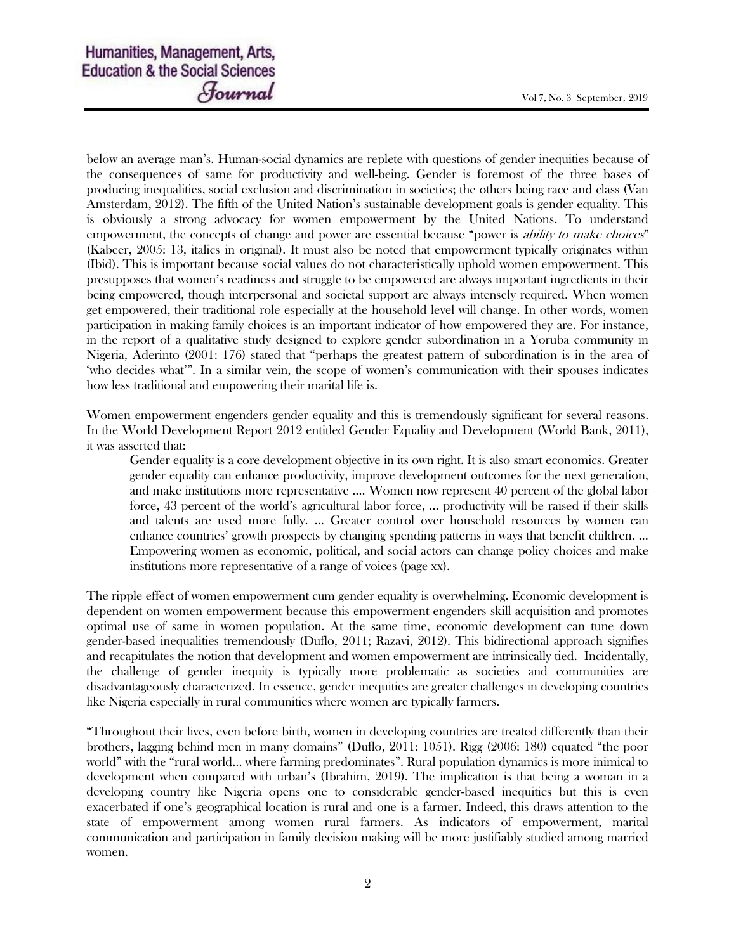below an average man's. Human-social dynamics are replete with questions of gender inequities because of the consequences of same for productivity and well-being. Gender is foremost of the three bases of producing inequalities, social exclusion and discrimination in societies; the others being race and class (Van Amsterdam, 2012). The fifth of the United Nation's sustainable development goals is gender equality. This is obviously a strong advocacy for women empowerment by the United Nations. To understand empowerment, the concepts of change and power are essential because "power is *ability to make choices*" (Kabeer, 2005: 13, italics in original). It must also be noted that empowerment typically originates within (Ibid). This is important because social values do not characteristically uphold women empowerment. This presupposes that women's readiness and struggle to be empowered are always important ingredients in their being empowered, though interpersonal and societal support are always intensely required. When women get empowered, their traditional role especially at the household level will change. In other words, women participation in making family choices is an important indicator of how empowered they are. For instance, in the report of a qualitative study designed to explore gender subordination in a Yoruba community in Nigeria, Aderinto (2001: 176) stated that "perhaps the greatest pattern of subordination is in the area of 'who decides what'". In a similar vein, the scope of women's communication with their spouses indicates how less traditional and empowering their marital life is.

Women empowerment engenders gender equality and this is tremendously significant for several reasons. In the World Development Report 2012 entitled Gender Equality and Development (World Bank, 2011), it was asserted that:

Gender equality is a core development objective in its own right. It is also smart economics. Greater gender equality can enhance productivity, improve development outcomes for the next generation, and make institutions more representative …. Women now represent 40 percent of the global labor force, 43 percent of the world's agricultural labor force, … productivity will be raised if their skills and talents are used more fully. … Greater control over household resources by women can enhance countries' growth prospects by changing spending patterns in ways that benefit children. … Empowering women as economic, political, and social actors can change policy choices and make institutions more representative of a range of voices (page xx).

The ripple effect of women empowerment cum gender equality is overwhelming. Economic development is dependent on women empowerment because this empowerment engenders skill acquisition and promotes optimal use of same in women population. At the same time, economic development can tune down gender-based inequalities tremendously (Duflo, 2011; Razavi, 2012). This bidirectional approach signifies and recapitulates the notion that development and women empowerment are intrinsically tied. Incidentally, the challenge of gender inequity is typically more problematic as societies and communities are disadvantageously characterized. In essence, gender inequities are greater challenges in developing countries like Nigeria especially in rural communities where women are typically farmers.

"Throughout their lives, even before birth, women in developing countries are treated differently than their brothers, lagging behind men in many domains" (Duflo, 2011: 1051). Rigg (2006: 180) equated "the poor world" with the "rural world… where farming predominates". Rural population dynamics is more inimical to development when compared with urban's (Ibrahim, 2019). The implication is that being a woman in a developing country like Nigeria opens one to considerable gender-based inequities but this is even exacerbated if one's geographical location is rural and one is a farmer. Indeed, this draws attention to the state of empowerment among women rural farmers. As indicators of empowerment, marital communication and participation in family decision making will be more justifiably studied among married women.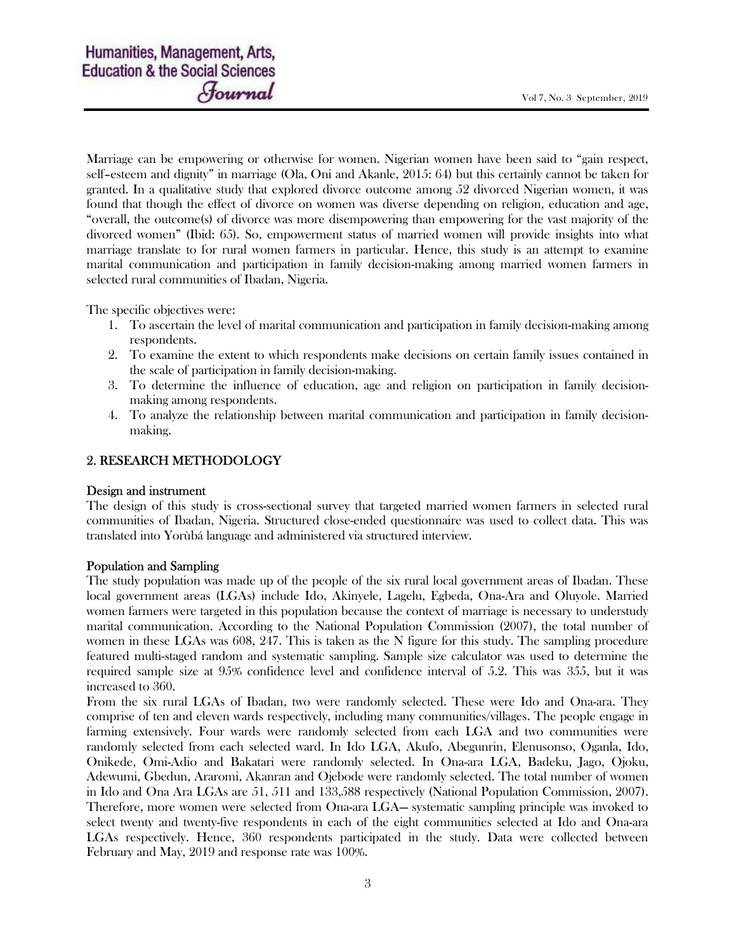Marriage can be empowering or otherwise for women. Nigerian women have been said to "gain respect, self–esteem and dignity" in marriage (Ola, Oni and Akanle, 2015: 64) but this certainly cannot be taken for granted. In a qualitative study that explored divorce outcome among 52 divorced Nigerian women, it was found that though the effect of divorce on women was diverse depending on religion, education and age, "overall, the outcome(s) of divorce was more disempowering than empowering for the vast majority of the divorced women" (Ibid: 65). So, empowerment status of married women will provide insights into what marriage translate to for rural women farmers in particular. Hence, this study is an attempt to examine marital communication and participation in family decision-making among married women farmers in selected rural communities of Ibadan, Nigeria.

The specific objectives were:

- 1. To ascertain the level of marital communication and participation in family decision-making among respondents.
- 2. To examine the extent to which respondents make decisions on certain family issues contained in the scale of participation in family decision-making.
- 3. To determine the influence of education, age and religion on participation in family decisionmaking among respondents.
- 4. To analyze the relationship between marital communication and participation in family decisionmaking.

# 2. RESEARCH METHODOLOGY

#### Design and instrument

The design of this study is cross-sectional survey that targeted married women farmers in selected rural communities of Ibadan, Nigeria. Structured close-ended questionnaire was used to collect data. This was translated into Yorùbá language and administered via structured interview.

#### Population and Sampling

The study population was made up of the people of the six rural local government areas of Ibadan. These local government areas (LGAs) include Ido, Akinyele, Lagelu, Egbeda, Ona-Ara and Oluyole. Married women farmers were targeted in this population because the context of marriage is necessary to understudy marital communication. According to the National Population Commission (2007), the total number of women in these LGAs was 608, 247. This is taken as the N figure for this study. The sampling procedure featured multi-staged random and systematic sampling. Sample size calculator was used to determine the required sample size at 95% confidence level and confidence interval of 5.2. This was 355, but it was increased to 360.

From the six rural LGAs of Ibadan, two were randomly selected. These were Ido and Ona-ara. They comprise of ten and eleven wards respectively, including many communities/villages. The people engage in farming extensively. Four wards were randomly selected from each LGA and two communities were randomly selected from each selected ward. In Ido LGA, Akufo, Abegunrin, Elenusonso, Oganla, Ido, Onikede, Omi-Adio and Bakatari were randomly selected. In Ona-ara LGA, Badeku, Jago, Ojoku, Adewumi, Gbedun, Araromi, Akanran and Ojebode were randomly selected. The total number of women in Ido and Ona Ara LGAs are 51, 511 and 133,588 respectively (National Population Commission, 2007). Therefore, more women were selected from Ona-ara LGA— systematic sampling principle was invoked to select twenty and twenty-five respondents in each of the eight communities selected at Ido and Ona-ara LGAs respectively. Hence, 360 respondents participated in the study. Data were collected between February and May, 2019 and response rate was 100%.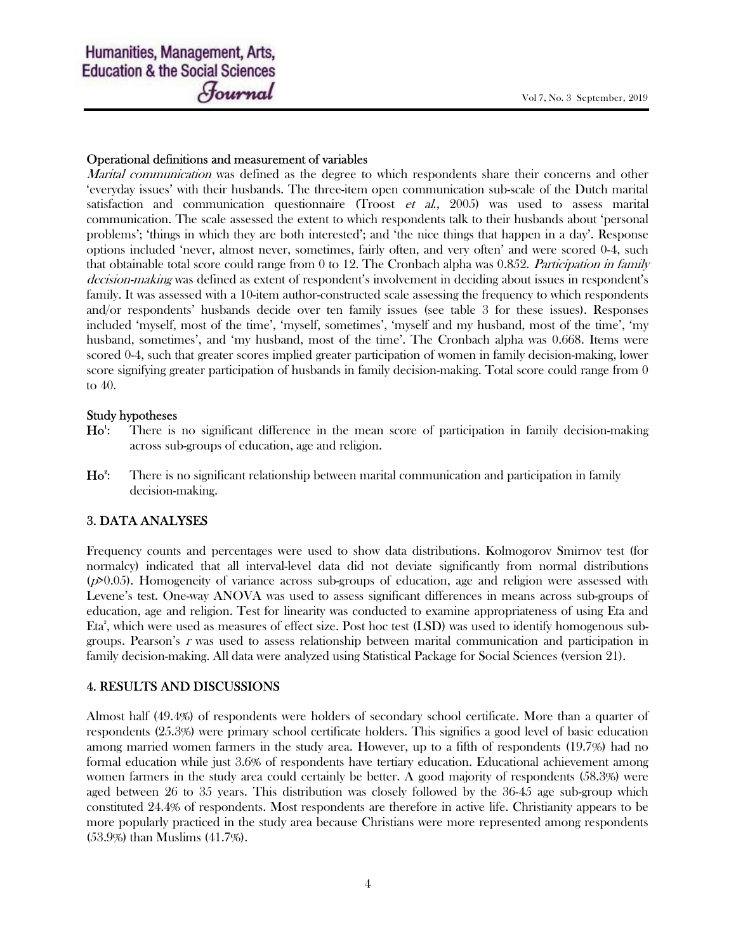#### Operational definitions and measurement of variables

*Marital communication* was defined as the degree to which respondents share their concerns and other 'everyday issues' with their husbands. The three-item open communication sub-scale of the Dutch marital satisfaction and communication questionnaire (Troost  $et$  al., 2005) was used to assess marital communication. The scale assessed the extent to which respondents talk to their husbands about 'personal problems'; 'things in which they are both interested'; and 'the nice things that happen in a day'. Response options included 'never, almost never, sometimes, fairly often, and very often' and were scored 0-4, such that obtainable total score could range from 0 to 12. The Cronbach alpha was 0.852. Participation in family decision-making was defined as extent of respondent's involvement in deciding about issues in respondent's family. It was assessed with a 10-item author-constructed scale assessing the frequency to which respondents and/or respondents' husbands decide over ten family issues (see table 3 for these issues). Responses included 'myself, most of the time', 'myself, sometimes', 'myself and my husband, most of the time', 'my husband, sometimes', and 'my husband, most of the time'. The Cronbach alpha was 0.668. Items were scored 0-4, such that greater scores implied greater participation of women in family decision-making, lower score signifying greater participation of husbands in family decision-making. Total score could range from 0 to 40.

#### Study hypotheses

- $Ho^!$ : There is no significant difference in the mean score of participation in family decision-making across sub-groups of education, age and religion.
- $Ho^2$ : : There is no significant relationship between marital communication and participation in family decision-making.

#### 3. DATA ANALYSES

Frequency counts and percentages were used to show data distributions. Kolmogorov Smirnov test (for normalcy) indicated that all interval-level data did not deviate significantly from normal distributions  $(p>0.05)$ . Homogeneity of variance across sub-groups of education, age and religion were assessed with Levene's test. One-way ANOVA was used to assess significant differences in means across sub-groups of education, age and religion. Test for linearity was conducted to examine appropriateness of using Eta and Eta<sup>2</sup>, which were used as measures of effect size. Post hoc test (LSD) was used to identify homogenous subgroups. Pearson's  $r$  was used to assess relationship between marital communication and participation in family decision-making. All data were analyzed using Statistical Package for Social Sciences (version 21).

#### 4. RESULTS AND DISCUSSIONS

Almost half (49.4%) of respondents were holders of secondary school certificate. More than a quarter of respondents (25.3%) were primary school certificate holders. This signifies a good level of basic education among married women farmers in the study area. However, up to a fifth of respondents (19.7%) had no formal education while just 3.6% of respondents have tertiary education. Educational achievement among women farmers in the study area could certainly be better. A good majority of respondents (58.3%) were aged between 26 to 35 years. This distribution was closely followed by the 36-45 age sub-group which constituted 24.4% of respondents. Most respondents are therefore in active life. Christianity appears to be more popularly practiced in the study area because Christians were more represented among respondents (53.9%) than Muslims (41.7%).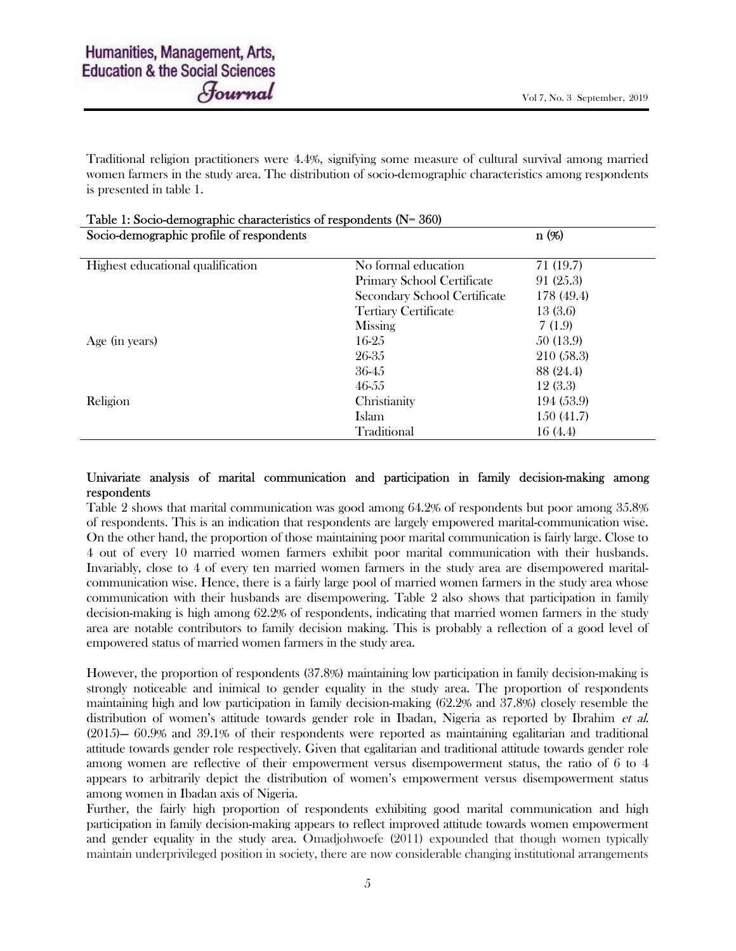Traditional religion practitioners were 4.4%, signifying some measure of cultural survival among married women farmers in the study area. The distribution of socio-demographic characteristics among respondents is presented in table 1.

| $\frac{1}{2}$ able 1: Socio-defined applie characteristics of respondents $(1 - 300)$<br>Socio-demographic profile of respondents |                              | $n(\%)$    |
|-----------------------------------------------------------------------------------------------------------------------------------|------------------------------|------------|
|                                                                                                                                   |                              |            |
| Highest educational qualification                                                                                                 | No formal education          | 71 (19.7)  |
|                                                                                                                                   | Primary School Certificate   | 91 (25.3)  |
|                                                                                                                                   | Secondary School Certificate | 178 (49.4) |
|                                                                                                                                   | <b>Tertiary Certificate</b>  | 13(3.6)    |
|                                                                                                                                   | Missing                      | 7(1.9)     |
| Age (in years)                                                                                                                    | 16-25                        | 50 (13.9)  |
|                                                                                                                                   | 26-35                        | 210 (58.3) |
|                                                                                                                                   | 36-45                        | 88 (24.4)  |
|                                                                                                                                   | 46-55                        | 12(3.3)    |
| Religion                                                                                                                          | Christianity                 | 194 (53.9) |
|                                                                                                                                   | Islam                        | 150(41.7)  |
|                                                                                                                                   | Traditional                  | 16(4.4)    |

|  |                                                      |  | Table 1: Socio-demographic characteristics of respondents (N= 360) |  |
|--|------------------------------------------------------|--|--------------------------------------------------------------------|--|
|  | $\alpha$ is the contract of the contract of $\alpha$ |  |                                                                    |  |

#### Univariate analysis of marital communication and participation in family decision-making among respondents

Table 2 shows that marital communication was good among 64.2% of respondents but poor among 35.8% of respondents. This is an indication that respondents are largely empowered marital-communication wise. On the other hand, the proportion of those maintaining poor marital communication is fairly large. Close to 4 out of every 10 married women farmers exhibit poor marital communication with their husbands. Invariably, close to 4 of every ten married women farmers in the study area are disempowered maritalcommunication wise. Hence, there is a fairly large pool of married women farmers in the study area whose communication with their husbands are disempowering. Table 2 also shows that participation in family decision-making is high among 62.2% of respondents, indicating that married women farmers in the study area are notable contributors to family decision making. This is probably a reflection of a good level of empowered status of married women farmers in the study area.

However, the proportion of respondents (37.8%) maintaining low participation in family decision-making is strongly noticeable and inimical to gender equality in the study area. The proportion of respondents maintaining high and low participation in family decision-making (62.2% and 37.8%) closely resemble the distribution of women's attitude towards gender role in Ibadan, Nigeria as reported by Ibrahim *et al.* (2015)— 60.9% and 39.1% of their respondents were reported as maintaining egalitarian and traditional attitude towards gender role respectively. Given that egalitarian and traditional attitude towards gender role among women are reflective of their empowerment versus disempowerment status, the ratio of 6 to 4 appears to arbitrarily depict the distribution of women's empowerment versus disempowerment status among women in Ibadan axis of Nigeria.

Further, the fairly high proportion of respondents exhibiting good marital communication and high participation in family decision-making appears to reflect improved attitude towards women empowerment and gender equality in the study area. Omadjohwoefe (2011) expounded that though women typically maintain underprivileged position in society, there are now considerable changing institutional arrangements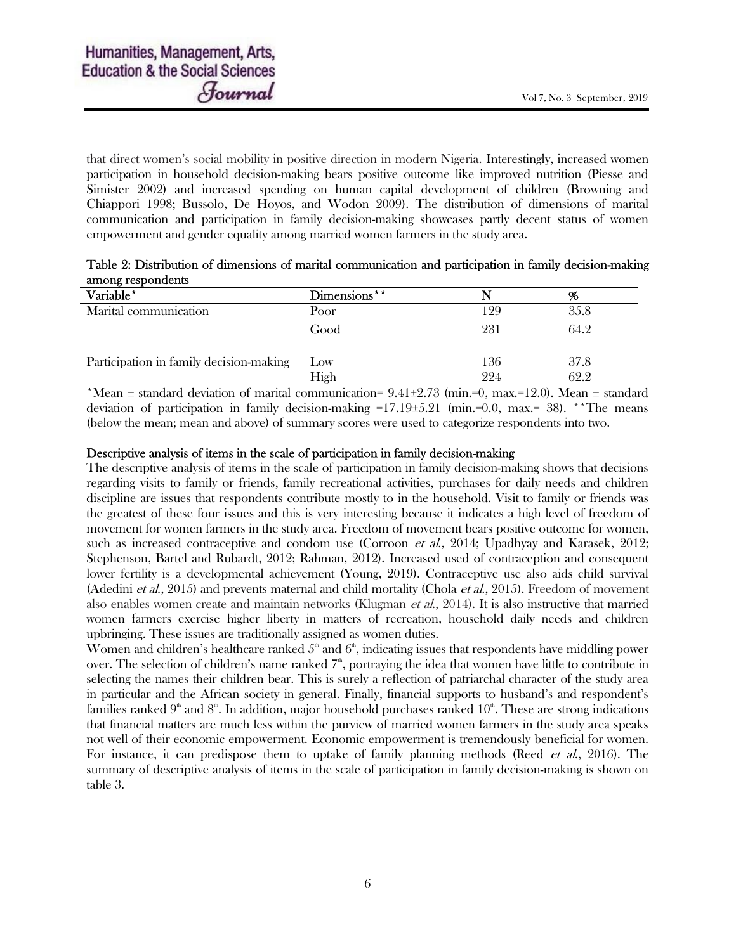that direct women's social mobility in positive direction in modern Nigeria. Interestingly, increased women participation in household decision-making bears positive outcome like improved nutrition (Piesse and Simister 2002) and increased spending on human capital development of children (Browning and Chiappori 1998; Bussolo, De Hoyos, and Wodon 2009). The distribution of dimensions of marital communication and participation in family decision-making showcases partly decent status of women empowerment and gender equality among married women farmers in the study area.

| Table 2: Distribution of dimensions of marital communication and participation in family decision-making |  |  |
|----------------------------------------------------------------------------------------------------------|--|--|
| among respondents                                                                                        |  |  |

| Variable*                               | Dimensions** |     | 96   |
|-----------------------------------------|--------------|-----|------|
| Marital communication                   | Poor         | 129 | 35.8 |
|                                         | Good         | 231 | 64.2 |
| Participation in family decision-making | Low          | 136 | 37.8 |
|                                         | High         | 224 | 62.2 |

\*Mean  $\pm$  standard deviation of marital communication= 9.41 $\pm$ 2.73 (min.=0, max.=12.0). Mean  $\pm$  standard deviation of participation in family decision-making  $=17.19\pm5.21$  (min.=0.0, max.= 38). \*\*The means (below the mean; mean and above) of summary scores were used to categorize respondents into two.

#### Descriptive analysis of items in the scale of participation in family decision-making

The descriptive analysis of items in the scale of participation in family decision-making shows that decisions regarding visits to family or friends, family recreational activities, purchases for daily needs and children discipline are issues that respondents contribute mostly to in the household. Visit to family or friends was the greatest of these four issues and this is very interesting because it indicates a high level of freedom of movement for women farmers in the study area. Freedom of movement bears positive outcome for women, such as increased contraceptive and condom use (Corroon *et al.*, 2014; Upadhyay and Karasek, 2012; Stephenson, Bartel and Rubardt, 2012; Rahman, 2012). Increased used of contraception and consequent lower fertility is a developmental achievement (Young, 2019). Contraceptive use also aids child survival (Adedini *et al.*, 2015) and prevents maternal and child mortality (Chola *et al.*, 2015). Freedom of movement also enables women create and maintain networks (Klugman *et al.*, 2014). It is also instructive that married women farmers exercise higher liberty in matters of recreation, household daily needs and children upbringing. These issues are traditionally assigned as women duties.

Women and children's healthcare ranked  $5<sup>th</sup>$  and  $6<sup>th</sup>$ , indicating issues that respondents have middling power over. The selection of children's name ranked 7<sup>th</sup>, portraying the idea that women have little to contribute in selecting the names their children bear. This is surely a reflection of patriarchal character of the study area in particular and the African society in general. Finally, financial supports to husband's and respondent's families ranked  $9<sup>th</sup>$  and  $8<sup>th</sup>$ . In addition, major household purchases ranked  $10<sup>th</sup>$ . These are strong indications that financial matters are much less within the purview of married women farmers in the study area speaks not well of their economic empowerment. Economic empowerment is tremendously beneficial for women. For instance, it can predispose them to uptake of family planning methods (Reed *et al.*, 2016). The summary of descriptive analysis of items in the scale of participation in family decision-making is shown on table 3.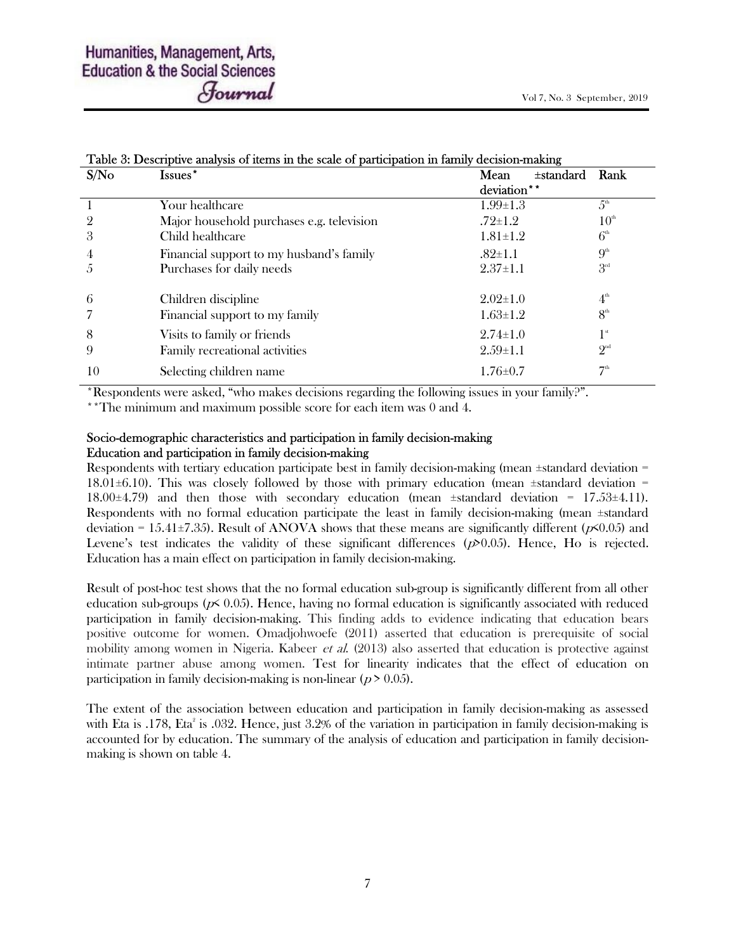| Table 3: Descriptive analysis of items in the scale of participation in family decision-making |                                           |                        |                  |  |  |  |  |
|------------------------------------------------------------------------------------------------|-------------------------------------------|------------------------|------------------|--|--|--|--|
| S/No                                                                                           | Issues*                                   | $\pm$ standard<br>Mean | Rank             |  |  |  |  |
|                                                                                                |                                           | deviation**            |                  |  |  |  |  |
|                                                                                                | Your healthcare                           | $1.99 \pm 1.3$         | $5^{\text{th}}$  |  |  |  |  |
| 2                                                                                              | Major household purchases e.g. television | $.72 \pm 1.2$          | 10 <sup>th</sup> |  |  |  |  |
| 3                                                                                              | Child healthcare                          | $1.81 \pm 1.2$         | 6 <sup>th</sup>  |  |  |  |  |
| 4                                                                                              | Financial support to my husband's family  | $.82 \pm 1.1$          | 9 <sup>th</sup>  |  |  |  |  |
| Ċ,                                                                                             | Purchases for daily needs                 | $2.37 \pm 1.1$         | 3 <sup>rd</sup>  |  |  |  |  |
| 6                                                                                              | Children discipline                       | $2.02 \pm 1.0$         | 4 <sup>th</sup>  |  |  |  |  |
|                                                                                                | Financial support to my family            | $1.63 \pm 1.2$         | 8 <sup>th</sup>  |  |  |  |  |
| 8                                                                                              | Visits to family or friends               | $2.74 \pm 1.0$         | 1 <sup>st</sup>  |  |  |  |  |
| 9                                                                                              | Family recreational activities            | $2.59 \pm 1.1$         | $2^{\rm nd}$     |  |  |  |  |
| 10                                                                                             | Selecting children name                   | $1.76 \pm 0.7$         | 7 <sup>th</sup>  |  |  |  |  |

# Table 3: Descriptive analysis of items in the scale of participation in family decision-making

\*Respondents were asked, "who makes decisions regarding the following issues in your family?".

\*\*The minimum and maximum possible score for each item was 0 and 4.

#### Socio-demographic characteristics and participation in family decision-making Education and participation in family decision-making

Respondents with tertiary education participate best in family decision-making (mean ±standard deviation = 18.01 $\pm$ 6.10). This was closely followed by those with primary education (mean  $\pm$ standard deviation = 18.00 $\pm$ 4.79) and then those with secondary education (mean  $\pm$ standard deviation = 17.53 $\pm$ 4.11). Respondents with no formal education participate the least in family decision-making (mean ±standard deviation = 15.41 $\pm$ 7.35). Result of ANOVA shows that these means are significantly different ( $p$ <0.05) and Levene's test indicates the validity of these significant differences  $(p \ge 0.05)$ . Hence, Ho is rejected. Education has a main effect on participation in family decision-making.

Result of post-hoc test shows that the no formal education sub-group is significantly different from all other education sub-groups ( $p \leq 0.05$ ). Hence, having no formal education is significantly associated with reduced participation in family decision-making. This finding adds to evidence indicating that education bears positive outcome for women. Omadjohwoefe (2011) asserted that education is prerequisite of social mobility among women in Nigeria. Kabeer *et al.* (2013) also asserted that education is protective against intimate partner abuse among women. Test for linearity indicates that the effect of education on participation in family decision-making is non-linear ( $p > 0.05$ ).

The extent of the association between education and participation in family decision-making as assessed with Eta is .178, Eta<sup>2</sup> is .032. Hence, just 3.2% of the variation in participation in family decision-making is accounted for by education. The summary of the analysis of education and participation in family decisionmaking is shown on table 4.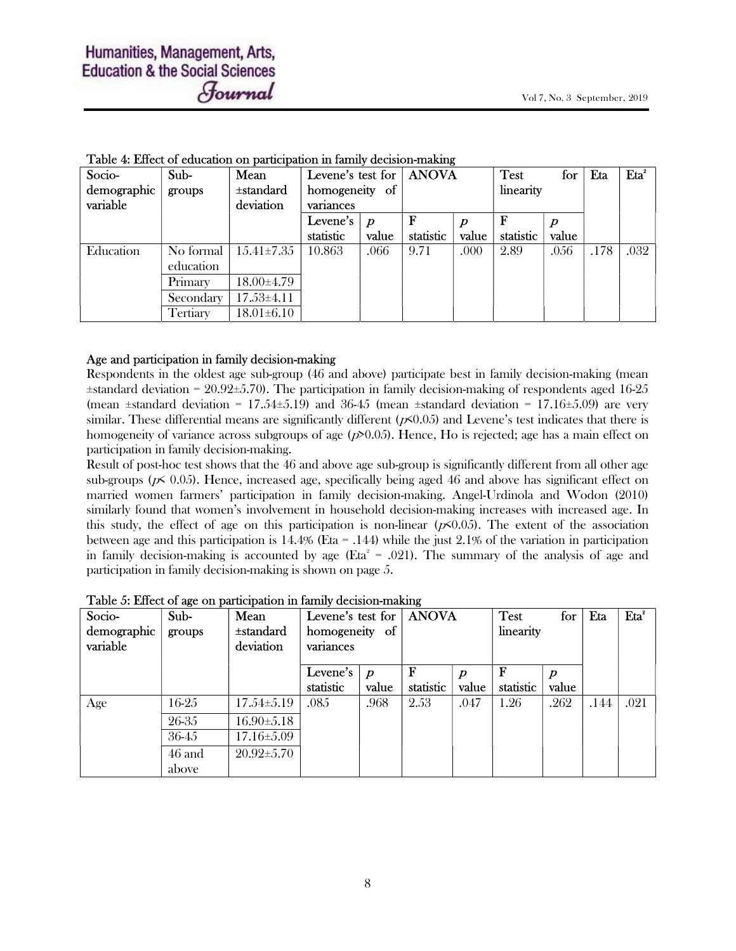| Socio-      | Sub-      | Mean             |                |                  | Levene's test for   ANOVA |                  | <b>Test</b> | for   | Eta  | Eta <sup>2</sup> |
|-------------|-----------|------------------|----------------|------------------|---------------------------|------------------|-------------|-------|------|------------------|
| demographic | groups    | ±standard        | homogeneity of |                  |                           |                  | linearity   |       |      |                  |
| variable    |           | deviation        | variances      |                  |                           |                  |             |       |      |                  |
|             |           |                  | Levene's       | $\boldsymbol{D}$ |                           | $\boldsymbol{p}$ |             |       |      |                  |
|             |           |                  | statistic      | value            | statistic                 | value            | statistic   | value |      |                  |
| Education   | No formal | $15.41 \pm 7.35$ | 10.863         | .066             | 9.71                      | .000             | 2.89        | .056  | .178 | .032             |
|             | education |                  |                |                  |                           |                  |             |       |      |                  |
|             | Primary   | 18.00±4.79       |                |                  |                           |                  |             |       |      |                  |
|             | Secondary | $17.53 \pm 4.11$ |                |                  |                           |                  |             |       |      |                  |
|             | Tertiary  | $18.01 \pm 6.10$ |                |                  |                           |                  |             |       |      |                  |

|  | Table 4: Effect of education on participation in family decision-making |  |  |  |
|--|-------------------------------------------------------------------------|--|--|--|
|  |                                                                         |  |  |  |

#### Age and participation in family decision-making

Respondents in the oldest age sub-group (46 and above) participate best in family decision-making (mean ±standard deviation = 20.92±5.70). The participation in family decision-making of respondents aged 16-25 (mean  $\pm$ standard deviation = 17.54 $\pm$ 5.19) and 36-45 (mean  $\pm$ standard deviation = 17.16 $\pm$ 5.09) are very similar. These differential means are significantly different  $(p<0.05)$  and Levene's test indicates that there is homogeneity of variance across subgroups of age  $(p>0.05)$ . Hence, Ho is rejected; age has a main effect on participation in family decision-making.

Result of post-hoc test shows that the 46 and above age sub-group is significantly different from all other age sub-groups ( $p \leq 0.05$ ). Hence, increased age, specifically being aged 46 and above has significant effect on married women farmers' participation in family decision-making. Angel-Urdinola and Wodon (2010) similarly found that women's involvement in household decision-making increases with increased age. In this study, the effect of age on this participation is non-linear  $(p<0.05)$ . The extent of the association between age and this participation is 14.4% (Eta = .144) while the just 2.1% of the variation in participation in family decision-making is accounted by age ( $Et^2 = .021$ ). The summary of the analysis of age and participation in family decision-making is shown on page 5.

| Socio-<br>demographic<br>variable | Sub-<br>groups  | Mean<br>$\pm$ standard<br>deviation | Levene's test for $\vert$<br>homogeneity of<br>variances |                           | <b>ANOVA</b> |       | <b>Test</b><br>for<br>linearity |       | Eta  | Eta <sup>2</sup> |
|-----------------------------------|-----------------|-------------------------------------|----------------------------------------------------------|---------------------------|--------------|-------|---------------------------------|-------|------|------------------|
|                                   |                 |                                     | Levene's<br>statistic                                    | $\boldsymbol{p}$<br>value | statistic    | value | statistic                       | value |      |                  |
| Age                               | 16-25           | $17.54 \pm 5.19$                    | .085                                                     | .968                      | 2.53         | .047  | 1.26                            | .262  | .144 | .021             |
|                                   | 26-35           | $16.90 \pm 5.18$                    |                                                          |                           |              |       |                                 |       |      |                  |
|                                   | 36-45           | $17.16 \pm 5.09$                    |                                                          |                           |              |       |                                 |       |      |                  |
|                                   | 46 and<br>above | $20.92 \pm 5.70$                    |                                                          |                           |              |       |                                 |       |      |                  |

| Table 5: Effect of age on participation in family decision-making |  |  |
|-------------------------------------------------------------------|--|--|
|                                                                   |  |  |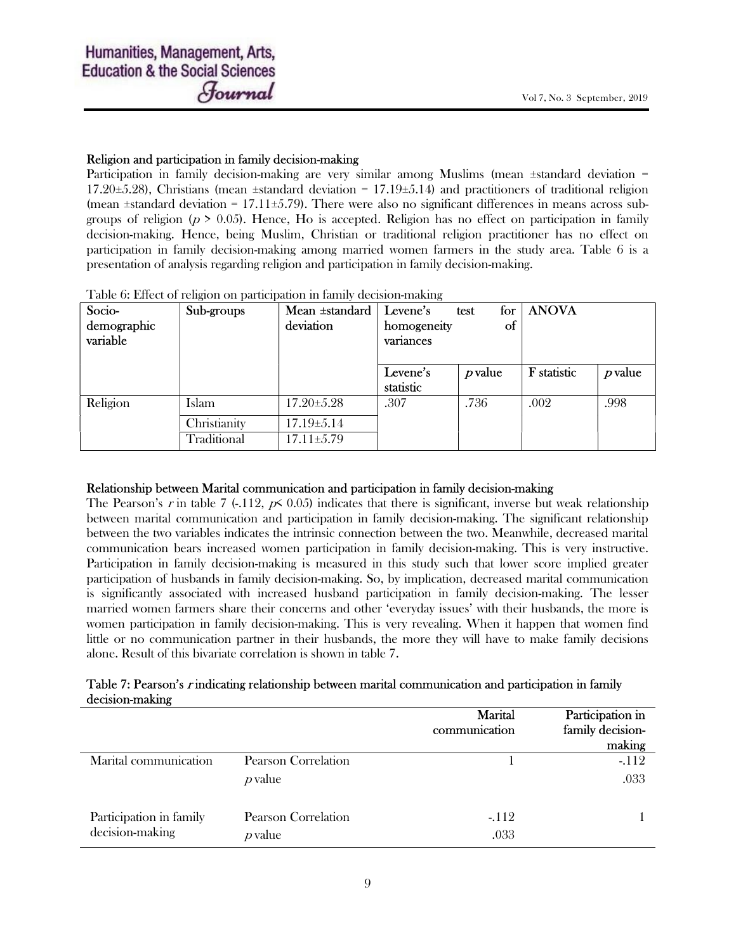#### Religion and participation in family decision-making

Participation in family decision-making are very similar among Muslims (mean ±standard deviation = 17.20 $\pm$ 5.28), Christians (mean  $\pm$ standard deviation = 17.19 $\pm$ 5.14) and practitioners of traditional religion (mean  $\pm$ standard deviation = 17.11 $\pm$ 5.79). There were also no significant differences in means across subgroups of religion ( $p > 0.05$ ). Hence, Ho is accepted. Religion has no effect on participation in family decision-making. Hence, being Muslim, Christian or traditional religion practitioner has no effect on participation in family decision-making among married women farmers in the study area. Table 6 is a presentation of analysis regarding religion and participation in family decision-making.

Table 6: Effect of religion on participation in family decision-making

| Socio-<br>demographic<br>variable | Sub-groups   | Mean ±standard<br>deviation | for<br>Levene's<br>test<br><sub>of</sub><br>homogeneity<br>variances |         | <b>ANOVA</b> |         |
|-----------------------------------|--------------|-----------------------------|----------------------------------------------------------------------|---------|--------------|---------|
|                                   |              |                             | Levene's<br>statistic                                                | p value | F statistic  | p value |
| Religion                          | Islam        | $17.20 \pm 5.28$            | .307                                                                 | .736    | .002         | .998    |
|                                   | Christianity | $17.19 \pm 5.14$            |                                                                      |         |              |         |
|                                   | Traditional  | $17.11 \pm 5.79$            |                                                                      |         |              |         |

#### Relationship between Marital communication and participation in family decision-making

The Pearson's r in table 7 (-.112,  $p \le 0.05$ ) indicates that there is significant, inverse but weak relationship between marital communication and participation in family decision-making. The significant relationship between the two variables indicates the intrinsic connection between the two. Meanwhile, decreased marital communication bears increased women participation in family decision-making. This is very instructive. Participation in family decision-making is measured in this study such that lower score implied greater participation of husbands in family decision-making. So, by implication, decreased marital communication is significantly associated with increased husband participation in family decision-making. The lesser married women farmers share their concerns and other 'everyday issues' with their husbands, the more is women participation in family decision-making. This is very revealing. When it happen that women find little or no communication partner in their husbands, the more they will have to make family decisions alone. Result of this bivariate correlation is shown in table 7.

# Table 7: Pearson's r indicating relationship between marital communication and participation in family decision-making

|                                            |                                  | Marital<br>communication | Participation in<br>family decision-<br>making |
|--------------------------------------------|----------------------------------|--------------------------|------------------------------------------------|
| Marital communication                      | Pearson Correlation<br>$p$ value |                          | $-112$<br>.033                                 |
| Participation in family<br>decision-making | Pearson Correlation<br>$p$ value | $-112$<br>.033           |                                                |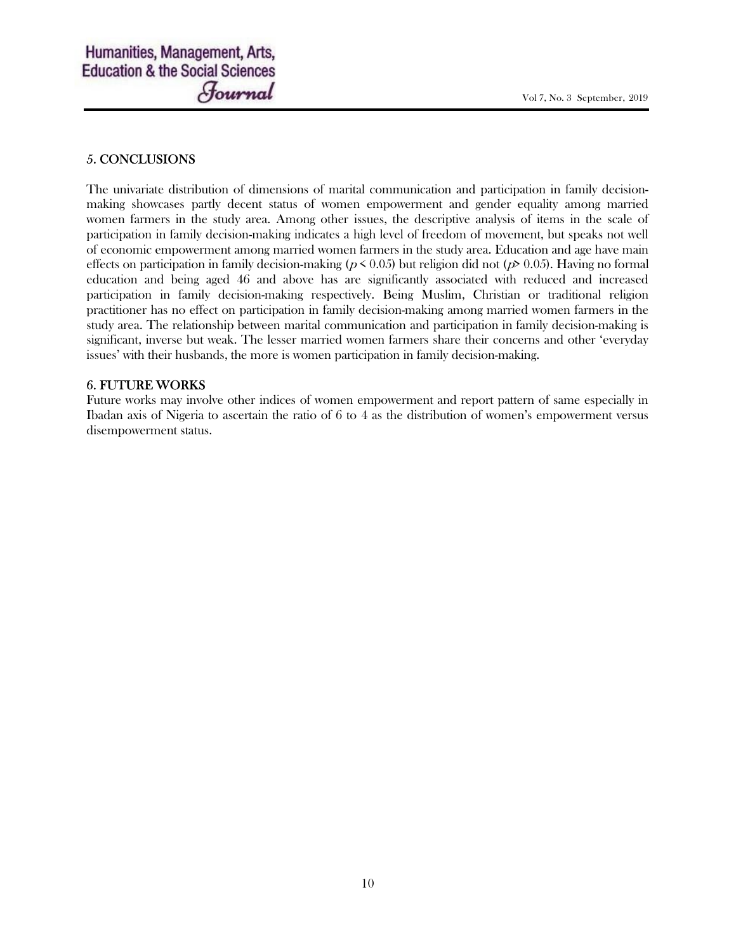# 5. CONCLUSIONS

The univariate distribution of dimensions of marital communication and participation in family decisionmaking showcases partly decent status of women empowerment and gender equality among married women farmers in the study area. Among other issues, the descriptive analysis of items in the scale of participation in family decision-making indicates a high level of freedom of movement, but speaks not well of economic empowerment among married women farmers in the study area. Education and age have main effects on participation in family decision-making ( $p < 0.05$ ) but religion did not ( $p > 0.05$ ). Having no formal education and being aged 46 and above has are significantly associated with reduced and increased participation in family decision-making respectively. Being Muslim, Christian or traditional religion practitioner has no effect on participation in family decision-making among married women farmers in the study area. The relationship between marital communication and participation in family decision-making is significant, inverse but weak. The lesser married women farmers share their concerns and other 'everyday issues' with their husbands, the more is women participation in family decision-making.

# 6. FUTURE WORKS

Future works may involve other indices of women empowerment and report pattern of same especially in Ibadan axis of Nigeria to ascertain the ratio of 6 to 4 as the distribution of women's empowerment versus disempowerment status.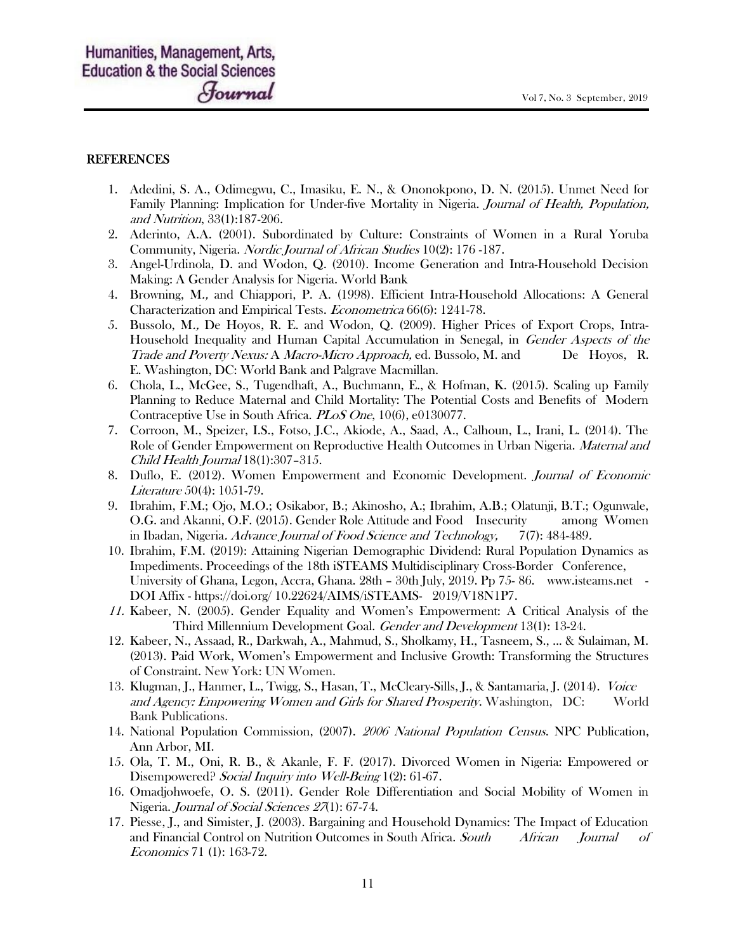#### **REFERENCES**

- 1. Adedini, S. A., Odimegwu, C., Imasiku, E. N., & Ononokpono, D. N. (2015). Unmet Need for Family Planning: Implication for Under-five Mortality in Nigeria. Journal of Health, Population, and Nutrition, 33(1):187-206.
- 2. Aderinto, A.A. (2001). Subordinated by Culture: Constraints of Women in a Rural Yoruba Community, Nigeria. Nordic Journal of African Studies 10(2): 176 -187.
- 3. Angel-Urdinola, D. and Wodon, Q. (2010). Income Generation and Intra-Household Decision Making: A Gender Analysis for Nigeria. World Bank
- 4. Browning, M., and Chiappori, P. A. (1998). Efficient Intra-Household Allocations: A General Characterization and Empirical Tests. Econometrica 66(6): 1241-78.
- 5. Bussolo, M., De Hoyos, R. E. and Wodon, Q. (2009). Higher Prices of Export Crops, Intra-Household Inequality and Human Capital Accumulation in Senegal, in *Gender Aspects of the* Trade and Poverty Nexus: A Macro-Micro Approach, ed. Bussolo, M. and De Hoyos, R. E. Washington, DC: World Bank and Palgrave Macmillan.
- 6. Chola, L., McGee, S., Tugendhaft, A., Buchmann, E., & Hofman, K. (2015). Scaling up Family Planning to Reduce Maternal and Child Mortality: The Potential Costs and Benefits of Modern Contraceptive Use in South Africa. PLoS One, 10(6), e0130077.
- 7. Corroon, M., Speizer, I.S., Fotso, J.C., Akiode, A., Saad, A., Calhoun, L., Irani, L. (2014). The Role of Gender Empowerment on Reproductive Health Outcomes in Urban Nigeria. *Maternal and* Child Health Journal 18(1):307–315.
- 8. Duflo, E. (2012). Women Empowerment and Economic Development. Journal of Economic Literature 50(4): 1051-79.
- 9. Ibrahim, F.M.; Ojo, M.O.; Osikabor, B.; Akinosho, A.; Ibrahim, A.B.; Olatunji, B.T.; Ogunwale, O.G. and Akanni, O.F. (2015). Gender Role Attitude and Food Insecurity among Women in Ibadan, Nigeria. Advance Journal of Food Science and Technology, 7(7): 484-489.
- 10. Ibrahim, F.M. (2019): Attaining Nigerian Demographic Dividend: Rural Population Dynamics as Impediments. Proceedings of the 18th iSTEAMS Multidisciplinary Cross-Border Conference, University of Ghana, Legon, Accra, Ghana. 28th – 30th July, 2019. Pp 75- 86. www.isteams.net - DOI Affix - https://doi.org/ 10.22624/AIMS/iSTEAMS- 2019/V18N1P7.
- 11. Kabeer, N. (2005). Gender Equality and Women's Empowerment: A Critical Analysis of the Third Millennium Development Goal. Gender and Development 13(1): 13-24.
- 12. Kabeer, N., Assaad, R., Darkwah, A., Mahmud, S., Sholkamy, H., Tasneem, S., ... & Sulaiman, M. (2013). Paid Work, Women's Empowerment and Inclusive Growth: Transforming the Structures of Constraint. New York: UN Women.
- 13. Klugman, J., Hanmer, L., Twigg, S., Hasan, T., McCleary-Sills, J., & Santamaria, J. (2014). Voice and Agency: Empowering Women and Girls for Shared Prosperity. Washington, DC: World Bank Publications.
- 14. National Population Commission, (2007). 2006 National Population Census. NPC Publication, Ann Arbor, MI.
- 15. Ola, T. M., Oni, R. B., & Akanle, F. F. (2017). Divorced Women in Nigeria: Empowered or Disempowered? Social Inquiry into Well-Being 1(2): 61-67.
- 16. Omadjohwoefe, O. S. (2011). Gender Role Differentiation and Social Mobility of Women in Nigeria. *Journal of Social Sciences 27*(1): 67-74.
- 17. Piesse, J., and Simister, J. (2003). Bargaining and Household Dynamics: The Impact of Education and Financial Control on Nutrition Outcomes in South Africa. South African Journal of Economics 71 (1): 163-72.